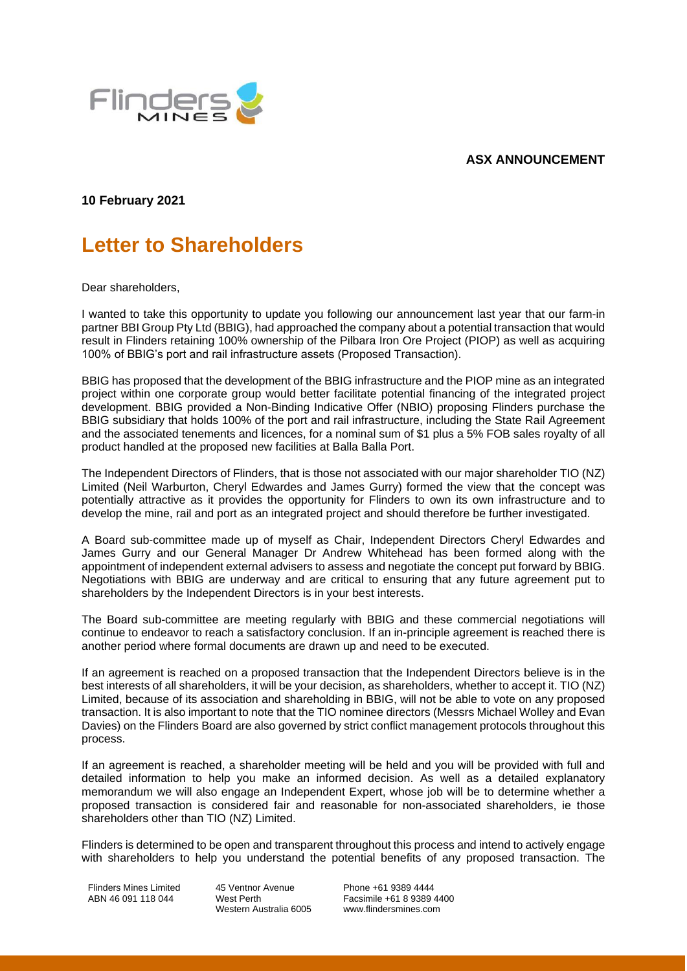## **ASX ANNOUNCEMENT**



**10 February 2021**

## **Letter to Shareholders**

Dear shareholders,

I wanted to take this opportunity to update you following our announcement last year that our farm-in partner BBI Group Pty Ltd (BBIG), had approached the company about a potential transaction that would result in Flinders retaining 100% ownership of the Pilbara Iron Ore Project (PIOP) as well as acquiring 100% of BBIG's port and rail infrastructure assets (Proposed Transaction).

BBIG has proposed that the development of the BBIG infrastructure and the PIOP mine as an integrated project within one corporate group would better facilitate potential financing of the integrated project development. BBIG provided a Non-Binding Indicative Offer (NBIO) proposing Flinders purchase the BBIG subsidiary that holds 100% of the port and rail infrastructure, including the State Rail Agreement and the associated tenements and licences, for a nominal sum of \$1 plus a 5% FOB sales royalty of all product handled at the proposed new facilities at Balla Balla Port.

The Independent Directors of Flinders, that is those not associated with our major shareholder TIO (NZ) Limited (Neil Warburton, Cheryl Edwardes and James Gurry) formed the view that the concept was potentially attractive as it provides the opportunity for Flinders to own its own infrastructure and to develop the mine, rail and port as an integrated project and should therefore be further investigated.

A Board sub-committee made up of myself as Chair, Independent Directors Cheryl Edwardes and James Gurry and our General Manager Dr Andrew Whitehead has been formed along with the appointment of independent external advisers to assess and negotiate the concept put forward by BBIG. Negotiations with BBIG are underway and are critical to ensuring that any future agreement put to shareholders by the Independent Directors is in your best interests.

The Board sub-committee are meeting regularly with BBIG and these commercial negotiations will continue to endeavor to reach a satisfactory conclusion. If an in-principle agreement is reached there is another period where formal documents are drawn up and need to be executed.

If an agreement is reached on a proposed transaction that the Independent Directors believe is in the best interests of all shareholders, it will be your decision, as shareholders, whether to accept it. TIO (NZ) Limited, because of its association and shareholding in BBIG, will not be able to vote on any proposed transaction. It is also important to note that the TIO nominee directors (Messrs Michael Wolley and Evan Davies) on the Flinders Board are also governed by strict conflict management protocols throughout this process.

If an agreement is reached, a shareholder meeting will be held and you will be provided with full and detailed information to help you make an informed decision. As well as a detailed explanatory memorandum we will also engage an Independent Expert, whose job will be to determine whether a proposed transaction is considered fair and reasonable for non-associated shareholders, ie those shareholders other than TIO (NZ) Limited.

Flinders is determined to be open and transparent throughout this process and intend to actively engage with shareholders to help you understand the potential benefits of any proposed transaction. The

Flinders Mines Limited ABN 46 091 118 044

45 Ventnor Avenue West Perth Western Australia 6005

Phone +61 9389 4444 Facsimile +61 8 9389 4400 www.flindersmines.com